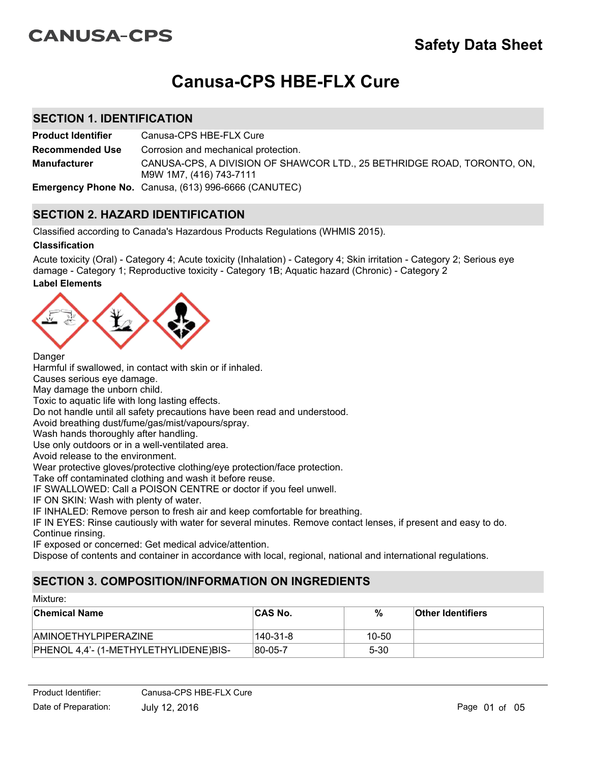# **CANUSA-CPS**

# **Canusa-CPS HBE-FLX Cure**

# **SECTION 1. IDENTIFICATION**

**Product Identifier** Canusa-CPS HBE-FLX Cure CANUSA-CPS, A DIVISION OF SHAWCOR LTD., 25 BETHRIDGE ROAD, TORONTO, ON, M9W 1M7, (416) 743-7111 **Recommended Use Emergency Phone No.** Canusa, (613) 996-6666 (CANUTEC) **Manufacturer** Corrosion and mechanical protection.

# **SECTION 2. HAZARD IDENTIFICATION**

Classified according to Canada's Hazardous Products Regulations (WHMIS 2015).

## **Classification**

**Label Elements** Acute toxicity (Oral) - Category 4; Acute toxicity (Inhalation) - Category 4; Skin irritation - Category 2; Serious eye damage - Category 1; Reproductive toxicity - Category 1B; Aquatic hazard (Chronic) - Category 2



**Danger** 

Harmful if swallowed, in contact with skin or if inhaled.

Causes serious eye damage.

May damage the unborn child.

Toxic to aquatic life with long lasting effects.

Do not handle until all safety precautions have been read and understood.

Avoid breathing dust/fume/gas/mist/vapours/spray.

Wash hands thoroughly after handling.

Use only outdoors or in a well-ventilated area.

Avoid release to the environment.

Wear protective gloves/protective clothing/eye protection/face protection.

Take off contaminated clothing and wash it before reuse.

IF SWALLOWED: Call a POISON CENTRE or doctor if you feel unwell.

IF ON SKIN: Wash with plenty of water.

IF INHALED: Remove person to fresh air and keep comfortable for breathing.

IF IN EYES: Rinse cautiously with water for several minutes. Remove contact lenses, if present and easy to do. Continue rinsing.

IF exposed or concerned: Get medical advice/attention.

Dispose of contents and container in accordance with local, regional, national and international regulations.

# **SECTION 3. COMPOSITION/INFORMATION ON INGREDIENTS**

| Mixture:                              |                |          |                          |  |  |
|---------------------------------------|----------------|----------|--------------------------|--|--|
| <b>Chemical Name</b>                  | <b>CAS No.</b> | %        | <b>Other Identifiers</b> |  |  |
| <b>AMINOETHYLPIPERAZINE</b>           | 140-31-8       | 10-50    |                          |  |  |
| PHENOL 4,4'- (1-METHYLETHYLIDENE)BIS- | 80-05-7        | $5 - 30$ |                          |  |  |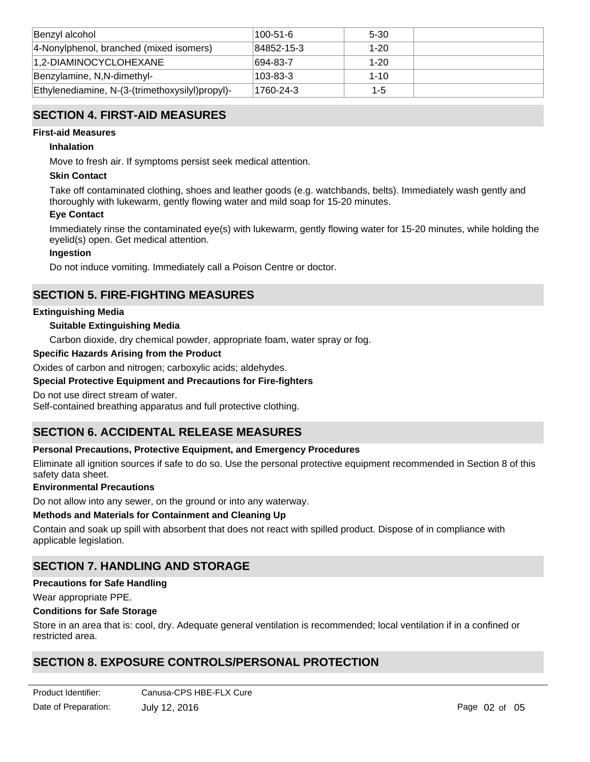| Benzyl alcohol                                  | 100-51-6   | 5-30     |  |
|-------------------------------------------------|------------|----------|--|
| 4-Nonylphenol, branched (mixed isomers)         | 84852-15-3 | $1 - 20$ |  |
| 1,2-DIAMINOCYCLOHEXANE                          | 694-83-7   | $1 - 20$ |  |
| Benzylamine, N,N-dimethyl-                      | 103-83-3   | $1 - 10$ |  |
| Ethylenediamine, N-(3-(trimethoxysilyl)propyl)- | 1760-24-3  | $1 - 5$  |  |

# **SECTION 4. FIRST-AID MEASURES**

## **First-aid Measures**

## **Inhalation**

Move to fresh air. If symptoms persist seek medical attention.

## **Skin Contact**

Take off contaminated clothing, shoes and leather goods (e.g. watchbands, belts). Immediately wash gently and thoroughly with lukewarm, gently flowing water and mild soap for 15-20 minutes.

## **Eye Contact**

Immediately rinse the contaminated eye(s) with lukewarm, gently flowing water for 15-20 minutes, while holding the eyelid(s) open. Get medical attention.

## **Ingestion**

Do not induce vomiting. Immediately call a Poison Centre or doctor.

# **SECTION 5. FIRE-FIGHTING MEASURES**

#### **Extinguishing Media**

#### **Suitable Extinguishing Media**

Carbon dioxide, dry chemical powder, appropriate foam, water spray or fog.

#### **Specific Hazards Arising from the Product**

Oxides of carbon and nitrogen; carboxylic acids; aldehydes.

#### **Special Protective Equipment and Precautions for Fire-fighters**

Do not use direct stream of water.

Self-contained breathing apparatus and full protective clothing.

# **SECTION 6. ACCIDENTAL RELEASE MEASURES**

#### **Personal Precautions, Protective Equipment, and Emergency Procedures**

Eliminate all ignition sources if safe to do so. Use the personal protective equipment recommended in Section 8 of this safety data sheet.

#### **Environmental Precautions**

Do not allow into any sewer, on the ground or into any waterway.

#### **Methods and Materials for Containment and Cleaning Up**

Contain and soak up spill with absorbent that does not react with spilled product. Dispose of in compliance with applicable legislation.

# **SECTION 7. HANDLING AND STORAGE**

#### **Precautions for Safe Handling**

Wear appropriate PPE.

#### **Conditions for Safe Storage**

Store in an area that is: cool, dry. Adequate general ventilation is recommended; local ventilation if in a confined or restricted area.

# **SECTION 8. EXPOSURE CONTROLS/PERSONAL PROTECTION**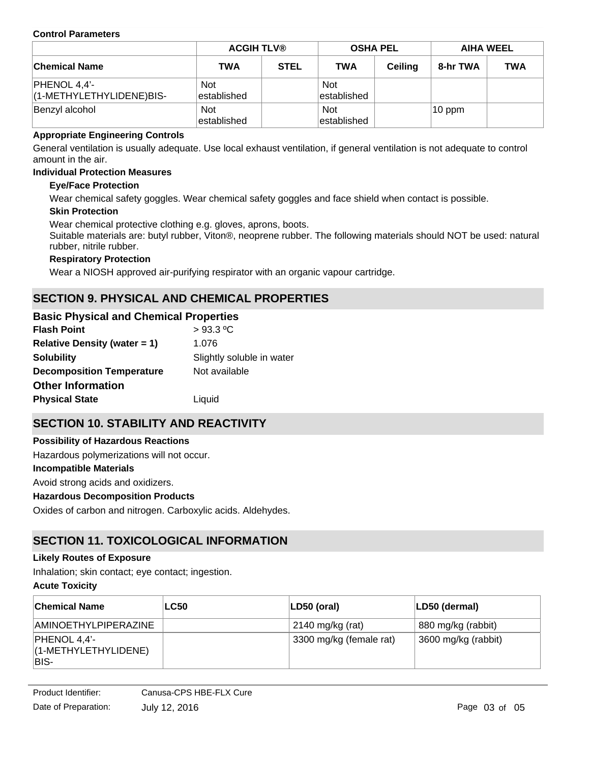#### **Control Parameters**

|                                            |                           | <b>ACGIH TLV®</b> |                           | <b>OSHA PEL</b> |          | <b>AIHA WEEL</b> |  |
|--------------------------------------------|---------------------------|-------------------|---------------------------|-----------------|----------|------------------|--|
| <b>Chemical Name</b>                       | <b>TWA</b>                | <b>STEL</b>       | <b>TWA</b>                | <b>Ceiling</b>  | 8-hr TWA | <b>TWA</b>       |  |
| $PHENOL 4,4'-$<br>(1-METHYLETHYLIDENE)BIS- | <b>Not</b><br>established |                   | <b>Not</b><br>established |                 |          |                  |  |
| Benzyl alcohol                             | <b>Not</b><br>established |                   | <b>Not</b><br>established |                 | 10 ppm   |                  |  |

## **Appropriate Engineering Controls**

General ventilation is usually adequate. Use local exhaust ventilation, if general ventilation is not adequate to control amount in the air.

#### **Individual Protection Measures**

## **Eye/Face Protection**

Wear chemical safety goggles. Wear chemical safety goggles and face shield when contact is possible.

#### **Skin Protection**

Wear chemical protective clothing e.g. gloves, aprons, boots.

Suitable materials are: butyl rubber, Viton®, neoprene rubber. The following materials should NOT be used: natural rubber, nitrile rubber.

## **Respiratory Protection**

Wear a NIOSH approved air-purifying respirator with an organic vapour cartridge.

# **SECTION 9. PHYSICAL AND CHEMICAL PROPERTIES**

# **Basic Physical and Chemical Properties**

| <b>Flash Point</b>               | $>93.3$ °C                |
|----------------------------------|---------------------------|
| Relative Density (water $= 1$ )  | 1.076                     |
| <b>Solubility</b>                | Slightly soluble in water |
| <b>Decomposition Temperature</b> | Not available             |
| <b>Other Information</b>         |                           |
| <b>Physical State</b>            | Liquid                    |

# **SECTION 10. STABILITY AND REACTIVITY**

**Incompatible Materials** Avoid strong acids and oxidizers. **Hazardous Decomposition Products** Oxides of carbon and nitrogen. Carboxylic acids. Aldehydes. **Possibility of Hazardous Reactions** Hazardous polymerizations will not occur.

# **SECTION 11. TOXICOLOGICAL INFORMATION**

#### **Likely Routes of Exposure**

Inhalation; skin contact; eye contact; ingestion.

#### **Acute Toxicity**

| <b>Chemical Name</b>                                | <b>LC50</b> | LD50 (oral)             | LD50 (dermal)       |
|-----------------------------------------------------|-------------|-------------------------|---------------------|
| AMINOETHYLPIPERAZINE                                |             | $2140$ mg/kg (rat)      | 880 mg/kg (rabbit)  |
| $ $ PHENOL 4,4'-<br>$(1-METHYLETHYLIDENE)$<br>IBIS- |             | 3300 mg/kg (female rat) | 3600 mg/kg (rabbit) |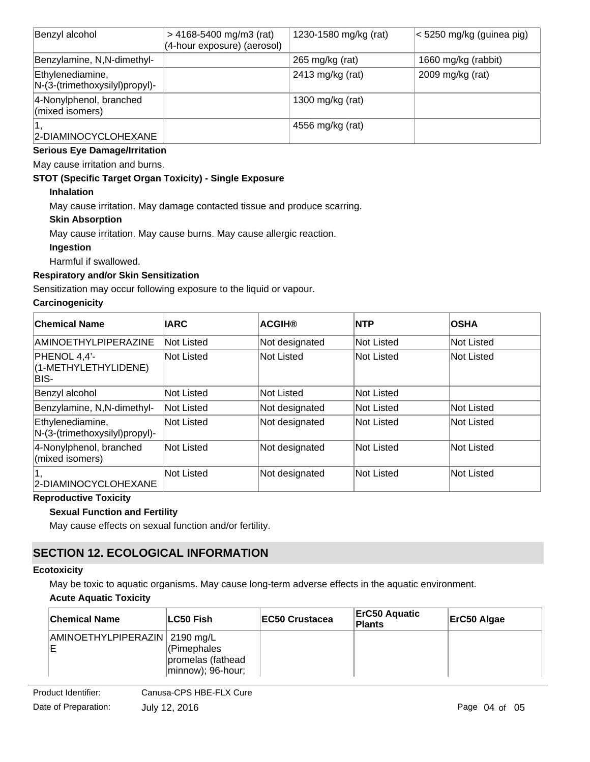| Benzyl alcohol                                     | $> 4168 - 5400$ mg/m3 (rat)<br>(4-hour exposure) (aerosol) | 1230-1580 mg/kg (rat) | < 5250 mg/kg (guinea pig) |
|----------------------------------------------------|------------------------------------------------------------|-----------------------|---------------------------|
| Benzylamine, N, N-dimethyl-                        |                                                            | 265 mg/kg (rat)       | 1660 mg/kg (rabbit)       |
| Ethylenediamine,<br>N-(3-(trimethoxysilyl)propyl)- |                                                            | 2413 mg/kg (rat)      | 2009 mg/kg (rat)          |
| 4-Nonylphenol, branched<br>(mixed isomers)         |                                                            | 1300 mg/kg (rat)      |                           |
| 2-DIAMINOCYCLOHEXANE                               |                                                            | 4556 mg/kg (rat)      |                           |

# **Serious Eye Damage/Irritation**

May cause irritation and burns.

## **STOT (Specific Target Organ Toxicity) - Single Exposure**

## **Inhalation**

May cause irritation. May damage contacted tissue and produce scarring.

## **Skin Absorption**

May cause irritation. May cause burns. May cause allergic reaction.

## **Ingestion**

Harmful if swallowed.

# **Respiratory and/or Skin Sensitization**

Sensitization may occur following exposure to the liquid or vapour.

## **Carcinogenicity**

| <b>Chemical Name</b>                               | <b>IARC</b>       | <b>ACGIH®</b>  | <b>NTP</b>        | <b>OSHA</b> |
|----------------------------------------------------|-------------------|----------------|-------------------|-------------|
| AMINOETHYLPIPERAZINE                               | Not Listed        | Not designated | <b>Not Listed</b> | Not Listed  |
| PHENOL 4,4'-<br>(1-METHYLETHYLIDENE)<br>BIS-       | Not Listed        | Not Listed     | Not Listed        | Not Listed  |
| Benzyl alcohol                                     | Not Listed        | Not Listed     | <b>Not Listed</b> |             |
| Benzylamine, N, N-dimethyl-                        | Not Listed        | Not designated | <b>Not Listed</b> | Not Listed  |
| Ethylenediamine,<br>N-(3-(trimethoxysilyl)propyl)- | Not Listed        | Not designated | <b>Not Listed</b> | Not Listed  |
| 4-Nonylphenol, branched<br>(mixed isomers)         | <b>Not Listed</b> | Not designated | Not Listed        | Not Listed  |
| 2-DIAMINOCYCLOHEXANE                               | <b>Not Listed</b> | Not designated | Not Listed        | Not Listed  |

#### **Reproductive Toxicity**

## **Sexual Function and Fertility**

May cause effects on sexual function and/or fertility.

# **SECTION 12. ECOLOGICAL INFORMATION**

# **Ecotoxicity**

May be toxic to aquatic organisms. May cause long-term adverse effects in the aquatic environment.

# **Acute Aquatic Toxicity**

| <b>Chemical Name</b>            | <b>ILC50 Fish</b>                                     | <b>IEC50 Crustacea</b> | <b>ErC50 Aquatic</b><br><b>Plants</b> | ErC50 Algae |
|---------------------------------|-------------------------------------------------------|------------------------|---------------------------------------|-------------|
| AMINOETHYLPIPERAZIN   2190 mg/L | (Pimephales<br>promelas (fathead<br>minnow); 96-hour; |                        |                                       |             |